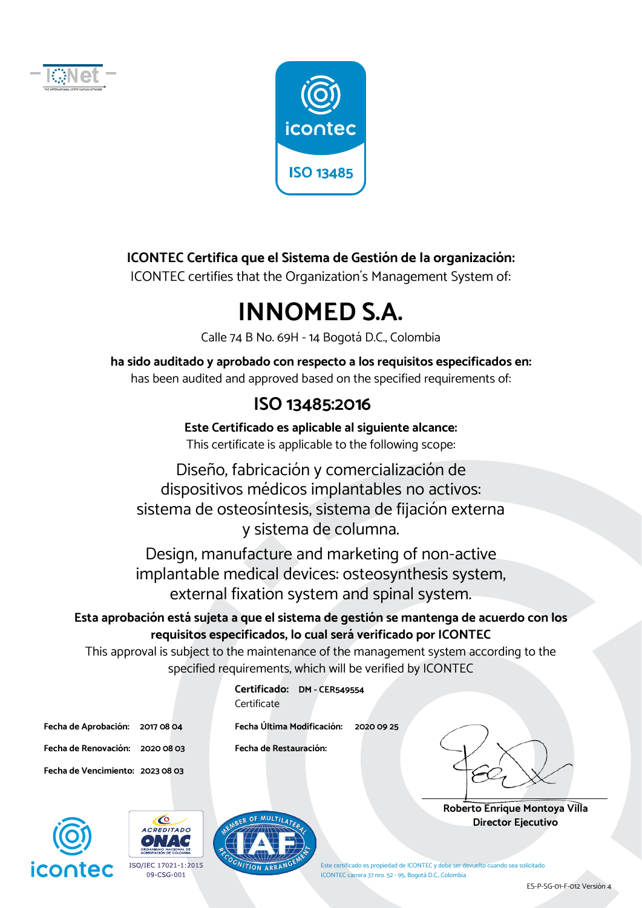



**ICONTEC Certifica que el Sistema de Gestión de la organización:**

ICONTEC certifies that the Organization´s Management System of:

# **INNOMED S.A.**

Calle 74 B No. 69H - 14 Bogotá D.C., Colombia

**ha sido auditado y aprobado con respecto a los requisitos especificados en:**  has been audited and approved based on the specified requirements of:

#### **ISO 13485:2016**

**Este Certificado es aplicable al siguiente alcance:**  This certificate is applicable to the following scope:

Diseño, fabricación y comercialización de dispositivos médicos implantables no activos: sistema de osteosíntesis, sistema de fijación externa y sistema de columna.

Design, manufacture and marketing of non-active implantable medical devices: osteosynthesis system, external fixation system and spinal system.

#### **Esta aprobación está sujeta a que el sistema de gestión se mantenga de acuerdo con los requisitos especificados, lo cual será verificado por ICONTEC**

This approval is subject to the maintenance of the management system according to the specified requirements, which will be verified by ICONTEC

> **Certificado: DM - CER549554 Certificate**

**Fecha de Renovación: 2020 08 03 Fecha de Restauración: Fecha de Vencimiento: 2023 08 03** 

**Fecha de Aprobación: 2017 08 04 Fecha Última Modificación: 2020 09 25** 



**Roberto Enrique Montoya Villa Director Ejecutivo** 







 $\bullet$ 



ES-P-SG-01-F-012 Versión 4